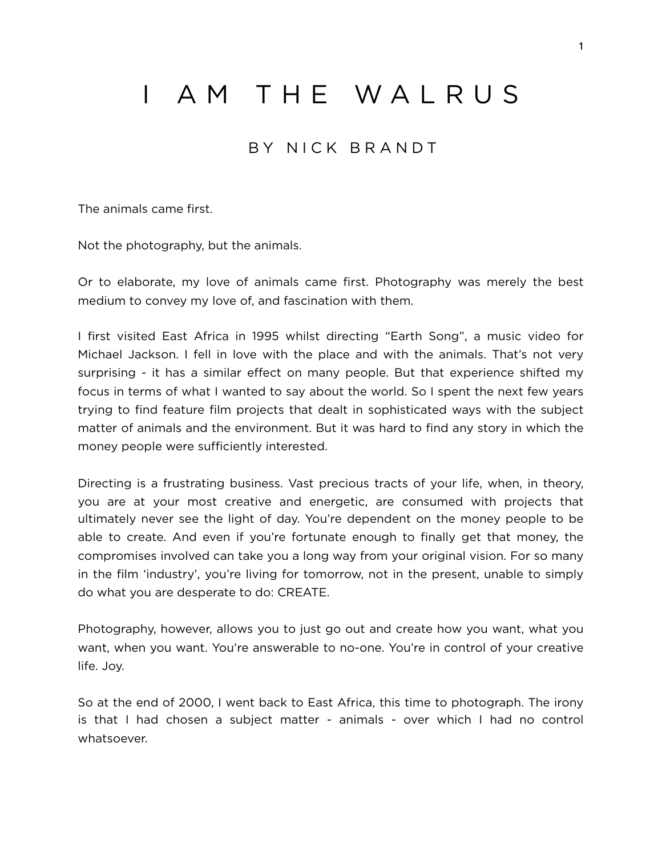## I AM THE WALRUS

## BY NICK BRANDT

The animals came first.

Not the photography, but the animals.

Or to elaborate, my love of animals came first. Photography was merely the best medium to convey my love of, and fascination with them.

I first visited East Africa in 1995 whilst directing "Earth Song", a music video for Michael Jackson. I fell in love with the place and with the animals. That's not very surprising - it has a similar effect on many people. But that experience shifted my focus in terms of what I wanted to say about the world. So I spent the next few years trying to find feature film projects that dealt in sophisticated ways with the subject matter of animals and the environment. But it was hard to find any story in which the money people were sufficiently interested.

Directing is a frustrating business. Vast precious tracts of your life, when, in theory, you are at your most creative and energetic, are consumed with projects that ultimately never see the light of day. You're dependent on the money people to be able to create. And even if you're fortunate enough to finally get that money, the compromises involved can take you a long way from your original vision. For so many in the film 'industry', you're living for tomorrow, not in the present, unable to simply do what you are desperate to do: CREATE.

Photography, however, allows you to just go out and create how you want, what you want, when you want. You're answerable to no-one. You're in control of your creative life. Joy.

So at the end of 2000, I went back to East Africa, this time to photograph. The irony is that I had chosen a subject matter - animals - over which I had no control whatsoever.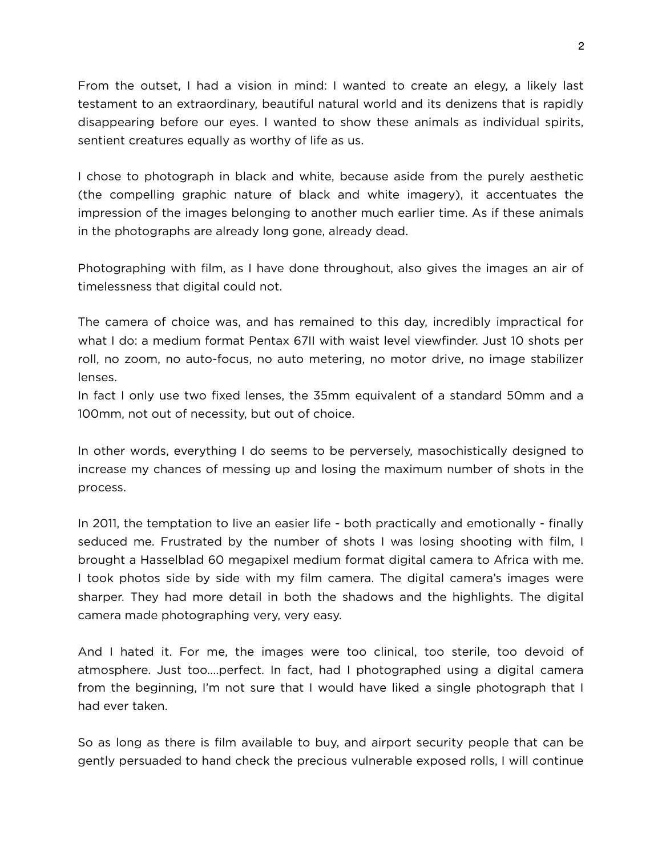From the outset, I had a vision in mind: I wanted to create an elegy, a likely last testament to an extraordinary, beautiful natural world and its denizens that is rapidly disappearing before our eyes. I wanted to show these animals as individual spirits, sentient creatures equally as worthy of life as us.

I chose to photograph in black and white, because aside from the purely aesthetic (the compelling graphic nature of black and white imagery), it accentuates the impression of the images belonging to another much earlier time. As if these animals in the photographs are already long gone, already dead.

Photographing with film, as I have done throughout, also gives the images an air of timelessness that digital could not.

The camera of choice was, and has remained to this day, incredibly impractical for what I do: a medium format Pentax 67II with waist level viewfinder. Just 10 shots per roll, no zoom, no auto-focus, no auto metering, no motor drive, no image stabilizer lenses.

In fact I only use two fixed lenses, the 35mm equivalent of a standard 50mm and a 100mm, not out of necessity, but out of choice.

In other words, everything I do seems to be perversely, masochistically designed to increase my chances of messing up and losing the maximum number of shots in the process.

In 2011, the temptation to live an easier life - both practically and emotionally - finally seduced me. Frustrated by the number of shots I was losing shooting with film, I brought a Hasselblad 60 megapixel medium format digital camera to Africa with me. I took photos side by side with my film camera. The digital camera's images were sharper. They had more detail in both the shadows and the highlights. The digital camera made photographing very, very easy.

And I hated it. For me, the images were too clinical, too sterile, too devoid of atmosphere. Just too....perfect. In fact, had I photographed using a digital camera from the beginning, I'm not sure that I would have liked a single photograph that I had ever taken.

So as long as there is film available to buy, and airport security people that can be gently persuaded to hand check the precious vulnerable exposed rolls, I will continue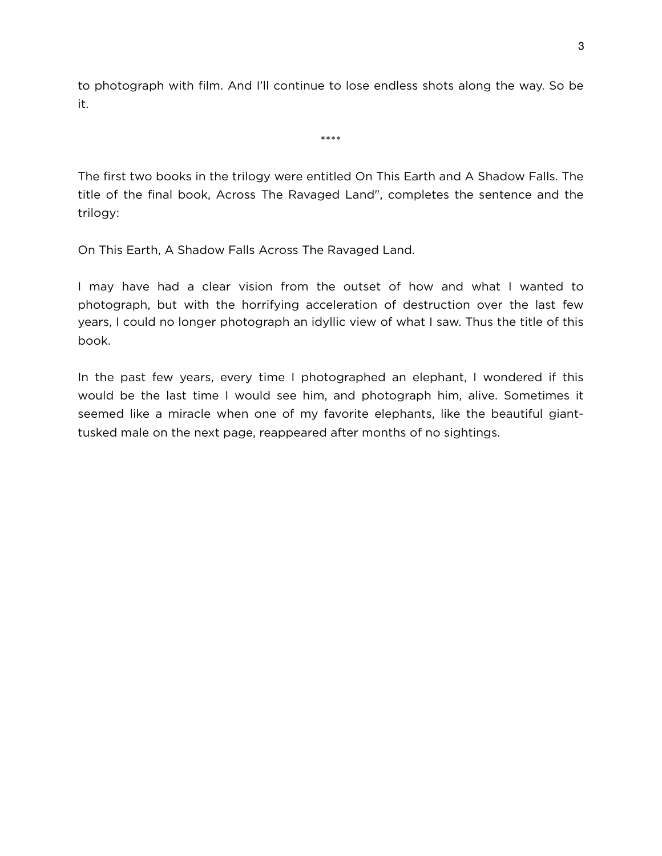to photograph with film. And I'll continue to lose endless shots along the way. So be it.

\*\*\*\*

The first two books in the trilogy were entitled On This Earth and A Shadow Falls. The title of the final book, Across The Ravaged Land", completes the sentence and the trilogy:

On This Earth, A Shadow Falls Across The Ravaged Land.

I may have had a clear vision from the outset of how and what I wanted to photograph, but with the horrifying acceleration of destruction over the last few years, I could no longer photograph an idyllic view of what I saw. Thus the title of this book.

In the past few years, every time I photographed an elephant, I wondered if this would be the last time I would see him, and photograph him, alive. Sometimes it seemed like a miracle when one of my favorite elephants, like the beautiful gianttusked male on the next page, reappeared after months of no sightings.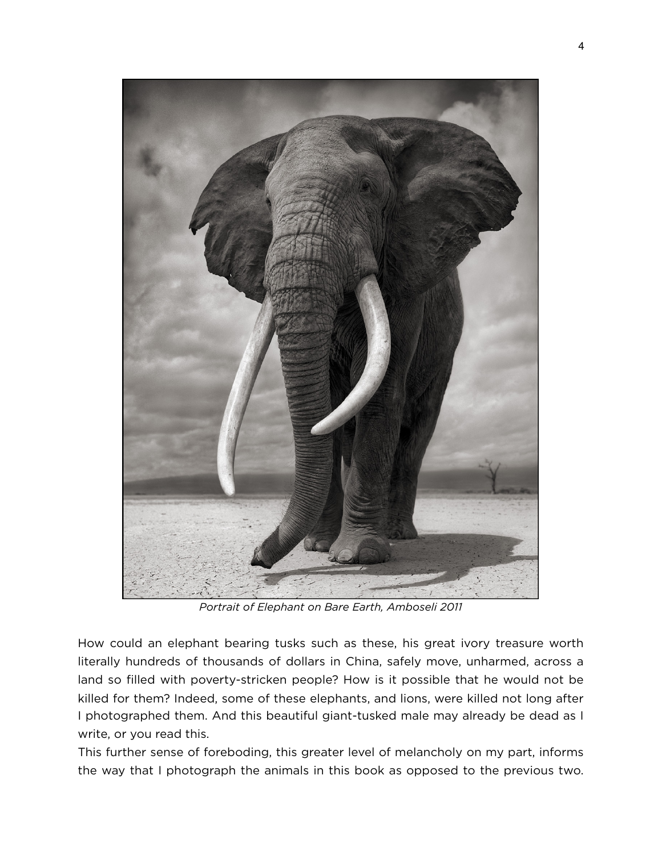

*Portrait of Elephant on Bare Earth, Amboseli 2011* 

How could an elephant bearing tusks such as these, his great ivory treasure worth literally hundreds of thousands of dollars in China, safely move, unharmed, across a land so filled with poverty-stricken people? How is it possible that he would not be killed for them? Indeed, some of these elephants, and lions, were killed not long after I photographed them. And this beautiful giant-tusked male may already be dead as I write, or you read this.

This further sense of foreboding, this greater level of melancholy on my part, informs the way that I photograph the animals in this book as opposed to the previous two.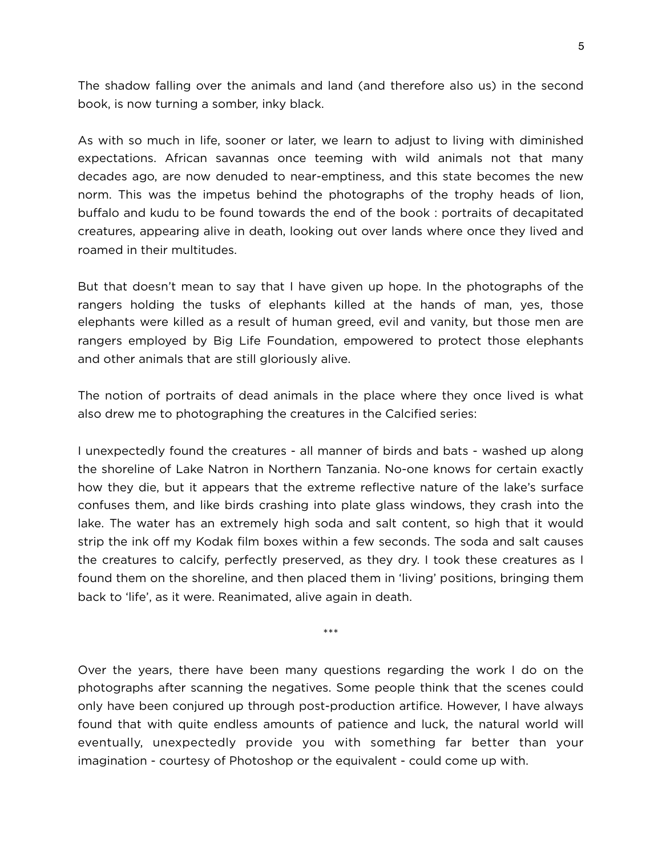The shadow falling over the animals and land (and therefore also us) in the second book, is now turning a somber, inky black.

As with so much in life, sooner or later, we learn to adjust to living with diminished expectations. African savannas once teeming with wild animals not that many decades ago, are now denuded to near-emptiness, and this state becomes the new norm. This was the impetus behind the photographs of the trophy heads of lion, buffalo and kudu to be found towards the end of the book : portraits of decapitated creatures, appearing alive in death, looking out over lands where once they lived and roamed in their multitudes.

But that doesn't mean to say that I have given up hope. In the photographs of the rangers holding the tusks of elephants killed at the hands of man, yes, those elephants were killed as a result of human greed, evil and vanity, but those men are rangers employed by Big Life Foundation, empowered to protect those elephants and other animals that are still gloriously alive.

The notion of portraits of dead animals in the place where they once lived is what also drew me to photographing the creatures in the Calcified series:

I unexpectedly found the creatures - all manner of birds and bats - washed up along the shoreline of Lake Natron in Northern Tanzania. No-one knows for certain exactly how they die, but it appears that the extreme reflective nature of the lake's surface confuses them, and like birds crashing into plate glass windows, they crash into the lake. The water has an extremely high soda and salt content, so high that it would strip the ink off my Kodak film boxes within a few seconds. The soda and salt causes the creatures to calcify, perfectly preserved, as they dry. I took these creatures as I found them on the shoreline, and then placed them in 'living' positions, bringing them back to 'life', as it were. Reanimated, alive again in death.

\*\*\*

Over the years, there have been many questions regarding the work I do on the photographs after scanning the negatives. Some people think that the scenes could only have been conjured up through post-production artifice. However, I have always found that with quite endless amounts of patience and luck, the natural world will eventually, unexpectedly provide you with something far better than your imagination - courtesy of Photoshop or the equivalent - could come up with.